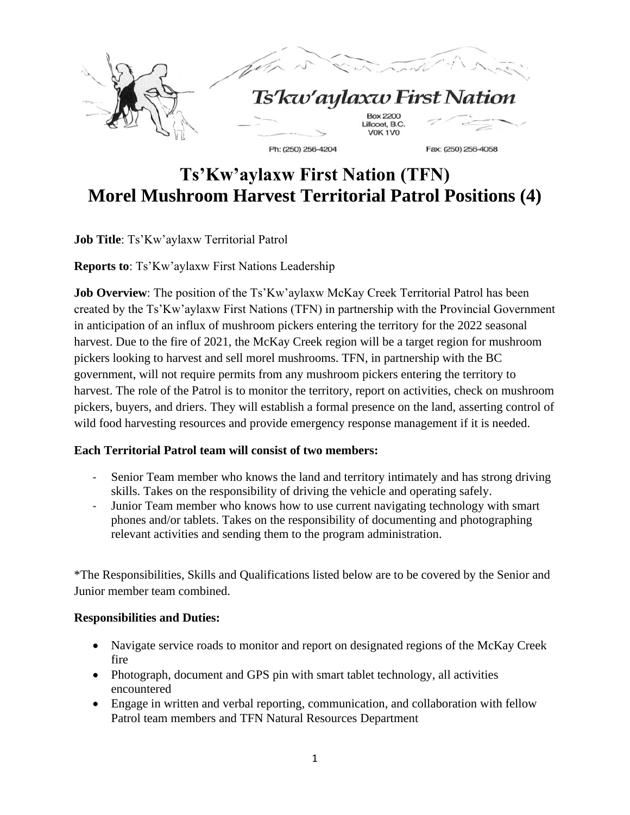

# **Ts'Kw'aylaxw First Nation (TFN) Morel Mushroom Harvest Territorial Patrol Positions (4)**

**Job Title**: Ts'Kw'aylaxw Territorial Patrol

**Reports to**: Ts'Kw'aylaxw First Nations Leadership

**Job Overview**: The position of the Ts'Kw'aylaxw McKay Creek Territorial Patrol has been created by the Ts'Kw'aylaxw First Nations (TFN) in partnership with the Provincial Government in anticipation of an influx of mushroom pickers entering the territory for the 2022 seasonal harvest. Due to the fire of 2021, the McKay Creek region will be a target region for mushroom pickers looking to harvest and sell morel mushrooms. TFN, in partnership with the BC government, will not require permits from any mushroom pickers entering the territory to harvest. The role of the Patrol is to monitor the territory, report on activities, check on mushroom pickers, buyers, and driers. They will establish a formal presence on the land, asserting control of wild food harvesting resources and provide emergency response management if it is needed.

### **Each Territorial Patrol team will consist of two members:**

- Senior Team member who knows the land and territory intimately and has strong driving skills. Takes on the responsibility of driving the vehicle and operating safely.
- Junior Team member who knows how to use current navigating technology with smart phones and/or tablets. Takes on the responsibility of documenting and photographing relevant activities and sending them to the program administration.

\*The Responsibilities, Skills and Qualifications listed below are to be covered by the Senior and Junior member team combined.

### **Responsibilities and Duties:**

- Navigate service roads to monitor and report on designated regions of the McKay Creek fire
- Photograph, document and GPS pin with smart tablet technology, all activities encountered
- Engage in written and verbal reporting, communication, and collaboration with fellow Patrol team members and TFN Natural Resources Department